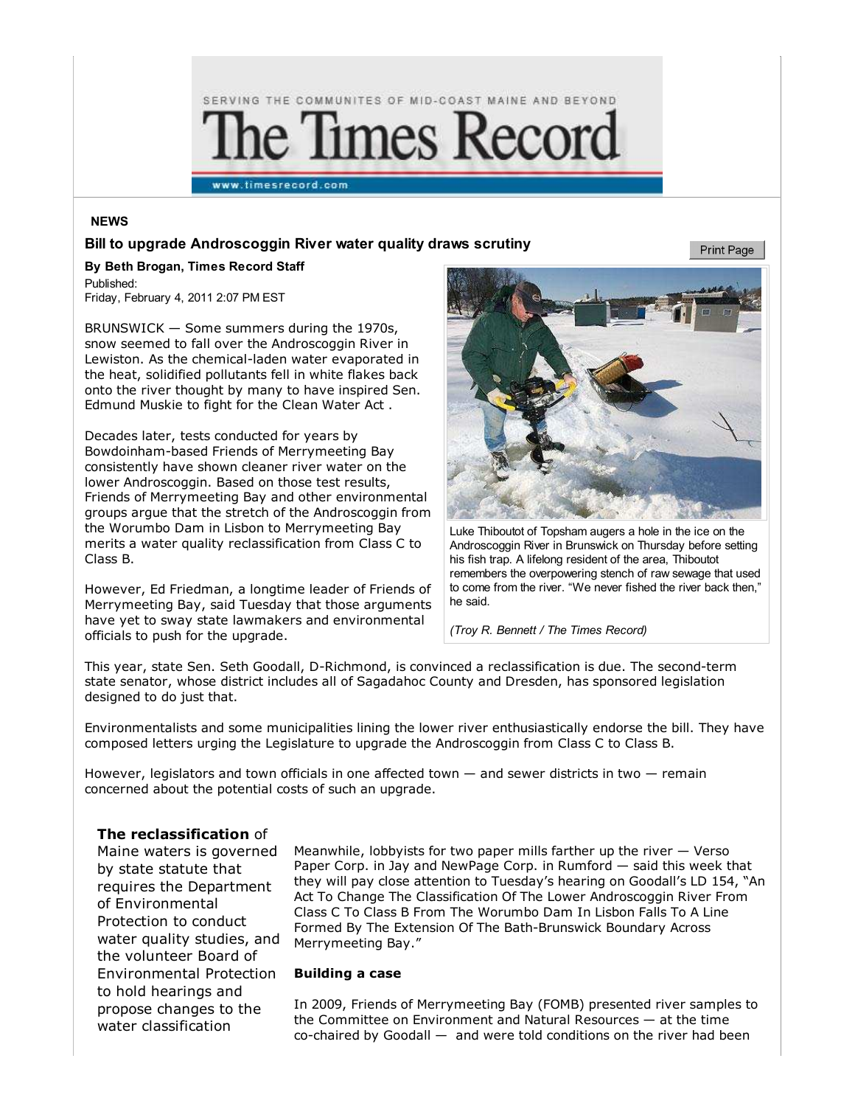

### **NEWS**

#### **Bill to upgrade Androscoggin River water quality draws scrutiny**

**Print Page** 

**By Beth Brogan, Times Record Staff** Published: Friday, February 4, 2011 2:07 PM EST

BRUNSWICK — Some summers during the 1970s, snow seemed to fall over the Androscoggin River in Lewiston. As the chemical-laden water evaporated in the heat, solidified pollutants fell in white flakes back onto the river thought by many to have inspired Sen. Edmund Muskie to fight for the Clean Water Act .

Decades later, tests conducted for years by Bowdoinham-based Friends of Merrymeeting Bay consistently have shown cleaner river water on the lower Androscoggin. Based on those test results, Friends of Merrymeeting Bay and other environmental groups argue that the stretch of the Androscoggin from the Worumbo Dam in Lisbon to Merrymeeting Bay merits a water quality reclassification from Class C to Class B.

However, Ed Friedman, a longtime leader of Friends of Merrymeeting Bay, said Tuesday that those arguments have yet to sway state lawmakers and environmental officials to push for the upgrade.



Luke Thiboutot of Topsham augers a hole in the ice on the Androscoggin River in Brunswick on Thursday before setting his fish trap. A lifelong resident of the area, Thiboutot remembers the overpowering stench of raw sewage that used to come from the river. "We never fished the river back then," he said.

*(Troy R. Bennett / The Times Record)*

This year, state Sen. Seth Goodall, D-Richmond, is convinced a reclassification is due. The second-term state senator, whose district includes all of Sagadahoc County and Dresden, has sponsored legislation designed to do just that.

Environmentalists and some municipalities lining the lower river enthusiastically endorse the bill. They have composed letters urging the Legislature to upgrade the Androscoggin from Class C to Class B.

However, legislators and town officials in one affected town — and sewer districts in two — remain concerned about the potential costs of such an upgrade.

# **The reclassification** of

Maine waters is governed by state statute that requires the Department of Environmental Protection to conduct water quality studies, and the volunteer Board of Environmental Protection to hold hearings and propose changes to the water classification

Meanwhile, lobbyists for two paper mills farther up the river  $-$  Verso Paper Corp. in Jay and NewPage Corp. in Rumford — said this week that they will pay close attention to Tuesday's hearing on Goodall's LD 154, "An Act To Change The Classification Of The Lower Androscoggin River From Class C To Class B From The Worumbo Dam In Lisbon Falls To A Line Formed By The Extension Of The Bath-Brunswick Boundary Across Merrymeeting Bay."

#### **Building a case**

In 2009, Friends of Merrymeeting Bay (FOMB) presented river samples to the Committee on Environment and Natural Resources — at the time co-chaired by Goodall — and were told conditions on the river had been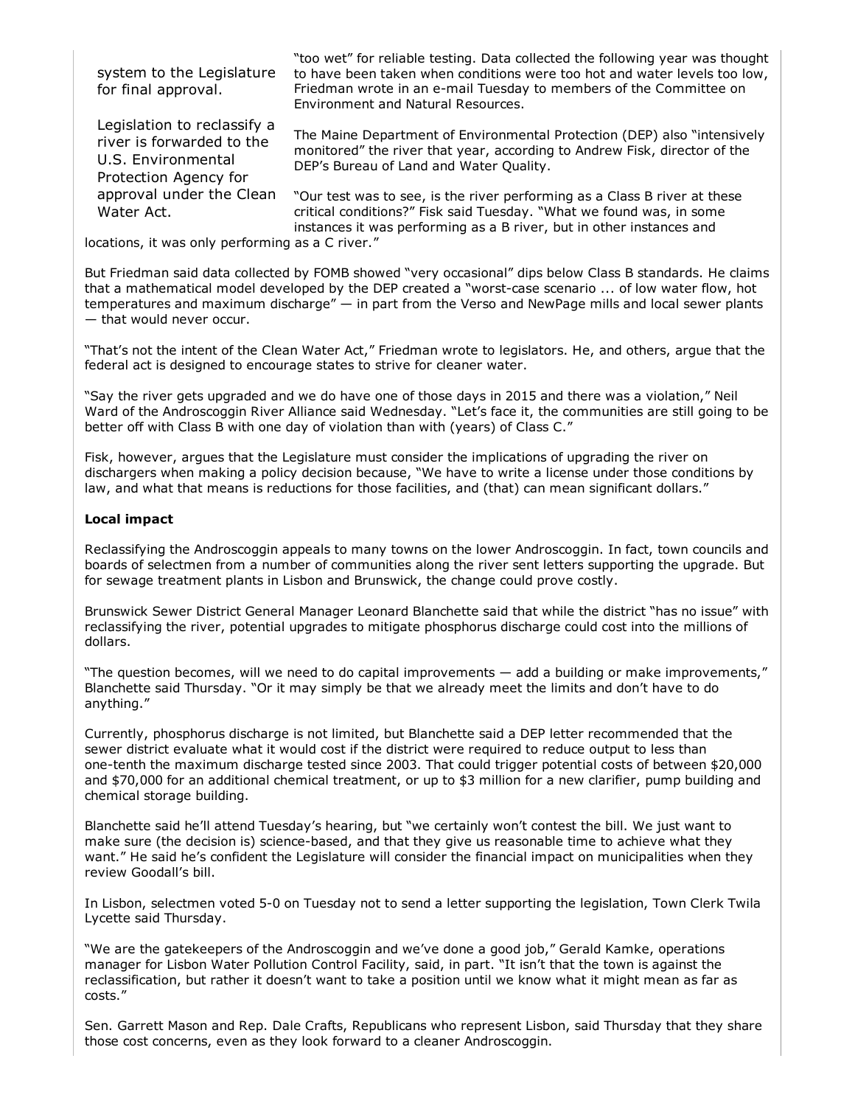system to the Legislature for final approval.

Legislation to reclassify a river is forwarded to the U.S. Environmental Protection Agency for approval under the Clean Water Act.

"too wet" for reliable testing. Data collected the following year was thought to have been taken when conditions were too hot and water levels too low, Friedman wrote in an e-mail Tuesday to members of the Committee on Environment and Natural Resources.

The Maine Department of Environmental Protection (DEP) also "intensively monitored" the river that year, according to Andrew Fisk, director of the DEP's Bureau of Land and Water Quality.

"Our test was to see, is the river performing as a Class B river at these critical conditions?" Fisk said Tuesday. "What we found was, in some instances it was performing as a B river, but in other instances and

locations, it was only performing as a C river."

But Friedman said data collected by FOMB showed "very occasional" dips below Class B standards. He claims that a mathematical model developed by the DEP created a "worst-case scenario ... of low water flow, hot temperatures and maximum discharge" — in part from the Verso and NewPage mills and local sewer plants — that would never occur.

"That's not the intent of the Clean Water Act," Friedman wrote to legislators. He, and others, argue that the federal act is designed to encourage states to strive for cleaner water.

"Say the river gets upgraded and we do have one of those days in 2015 and there was a violation," Neil Ward of the Androscoggin River Alliance said Wednesday. "Let's face it, the communities are still going to be better off with Class B with one day of violation than with (years) of Class C."

Fisk, however, argues that the Legislature must consider the implications of upgrading the river on dischargers when making a policy decision because, "We have to write a license under those conditions by law, and what that means is reductions for those facilities, and (that) can mean significant dollars."

### **Local impact**

Reclassifying the Androscoggin appeals to many towns on the lower Androscoggin. In fact, town councils and boards of selectmen from a number of communities along the river sent letters supporting the upgrade. But for sewage treatment plants in Lisbon and Brunswick, the change could prove costly.

Brunswick Sewer District General Manager Leonard Blanchette said that while the district "has no issue" with reclassifying the river, potential upgrades to mitigate phosphorus discharge could cost into the millions of dollars.

"The question becomes, will we need to do capital improvements — add a building or make improvements," Blanchette said Thursday. "Or it may simply be that we already meet the limits and don't have to do anything."

Currently, phosphorus discharge is not limited, but Blanchette said a DEP letter recommended that the sewer district evaluate what it would cost if the district were required to reduce output to less than one-tenth the maximum discharge tested since 2003. That could trigger potential costs of between \$20,000 and \$70,000 for an additional chemical treatment, or up to \$3 million for a new clarifier, pump building and chemical storage building.

Blanchette said he'll attend Tuesday's hearing, but "we certainly won't contest the bill. We just want to make sure (the decision is) science-based, and that they give us reasonable time to achieve what they want." He said he's confident the Legislature will consider the financial impact on municipalities when they review Goodall's bill.

In Lisbon, selectmen voted 5-0 on Tuesday not to send a letter supporting the legislation, Town Clerk Twila Lycette said Thursday.

"We are the gatekeepers of the Androscoggin and we've done a good job," Gerald Kamke, operations manager for Lisbon Water Pollution Control Facility, said, in part. "It isn't that the town is against the reclassification, but rather it doesn't want to take a position until we know what it might mean as far as costs."

Sen. Garrett Mason and Rep. Dale Crafts, Republicans who represent Lisbon, said Thursday that they share those cost concerns, even as they look forward to a cleaner Androscoggin.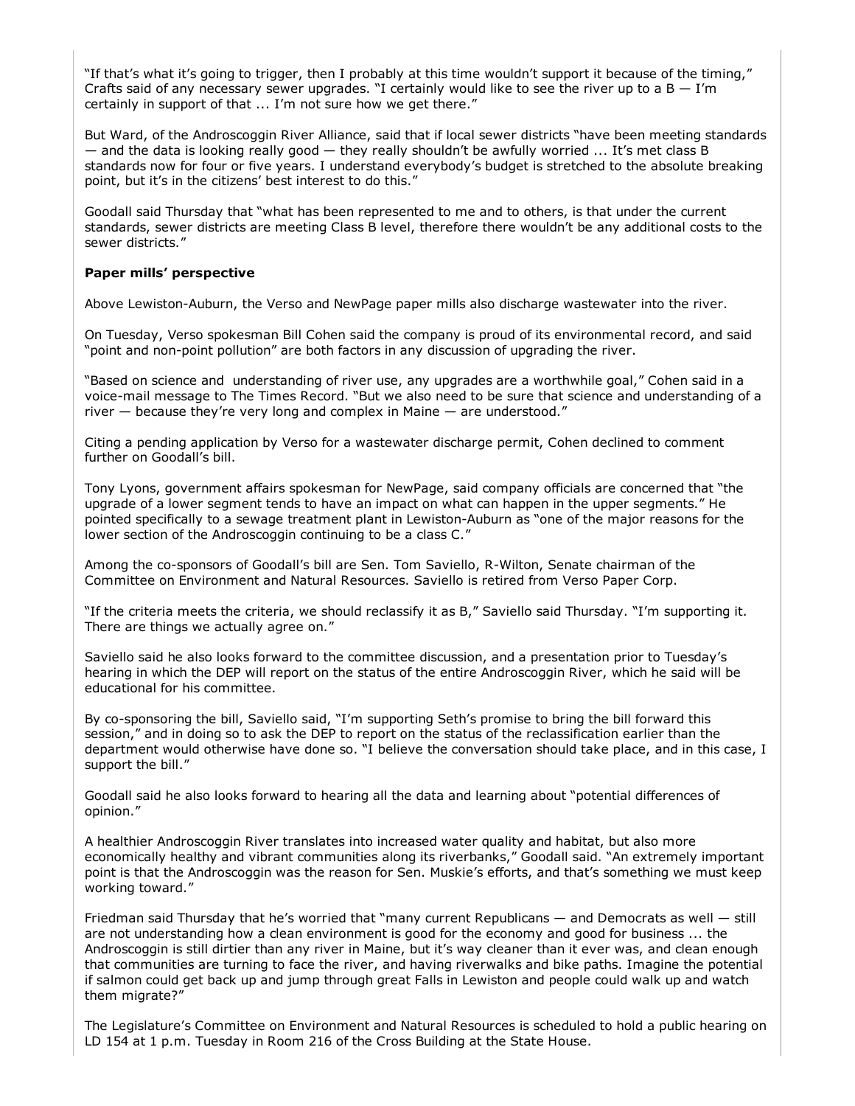"If that's what it's going to trigger, then I probably at this time wouldn't support it because of the timing," Crafts said of any necessary sewer upgrades. "I certainly would like to see the river up to a  $B - I'm$ certainly in support of that ... I'm not sure how we get there."

But Ward, of the Androscoggin River Alliance, said that if local sewer districts "have been meeting standards  $-$  and the data is looking really good  $-$  they really shouldn't be awfully worried  $\ldots$  It's met class B standards now for four or five years. I understand everybody's budget is stretched to the absolute breaking point, but it's in the citizens' best interest to do this."

Goodall said Thursday that "what has been represented to me and to others, is that under the current standards, sewer districts are meeting Class B level, therefore there wouldn't be any additional costs to the sewer districts."

# **Paper mills' perspective**

Above Lewiston-Auburn, the Verso and NewPage paper mills also discharge wastewater into the river.

On Tuesday, Verso spokesman Bill Cohen said the company is proud of its environmental record, and said "point and non-point pollution" are both factors in any discussion of upgrading the river.

"Based on science and understanding of river use, any upgrades are a worthwhile goal," Cohen said in a voice-mail message to The Times Record. "But we also need to be sure that science and understanding of a river — because they're very long and complex in Maine — are understood."

Citing a pending application by Verso for a wastewater discharge permit, Cohen declined to comment further on Goodall's bill.

Tony Lyons, government affairs spokesman for NewPage, said company officials are concerned that "the upgrade of a lower segment tends to have an impact on what can happen in the upper segments." He pointed specifically to a sewage treatment plant in Lewiston-Auburn as "one of the major reasons for the lower section of the Androscoggin continuing to be a class C."

Among the co-sponsors of Goodall's bill are Sen. Tom Saviello, R-Wilton, Senate chairman of the Committee on Environment and Natural Resources. Saviello is retired from Verso Paper Corp.

"If the criteria meets the criteria, we should reclassify it as B," Saviello said Thursday. "I'm supporting it. There are things we actually agree on."

Saviello said he also looks forward to the committee discussion, and a presentation prior to Tuesday's hearing in which the DEP will report on the status of the entire Androscoggin River, which he said will be educational for his committee.

By co-sponsoring the bill, Saviello said, "I'm supporting Seth's promise to bring the bill forward this session," and in doing so to ask the DEP to report on the status of the reclassification earlier than the department would otherwise have done so. "I believe the conversation should take place, and in this case, I support the bill."

Goodall said he also looks forward to hearing all the data and learning about "potential differences of opinion."

A healthier Androscoggin River translates into increased water quality and habitat, but also more economically healthy and vibrant communities along its riverbanks," Goodall said. "An extremely important point is that the Androscoggin was the reason for Sen. Muskie's efforts, and that's something we must keep working toward."

Friedman said Thursday that he's worried that "many current Republicans — and Democrats as well — still are not understanding how a clean environment is good for the economy and good for business ... the Androscoggin is still dirtier than any river in Maine, but it's way cleaner than it ever was, and clean enough that communities are turning to face the river, and having riverwalks and bike paths. Imagine the potential if salmon could get back up and jump through great Falls in Lewiston and people could walk up and watch them migrate?"

The Legislature's Committee on Environment and Natural Resources is scheduled to hold a public hearing on LD 154 at 1 p.m. Tuesday in Room 216 of the Cross Building at the State House.